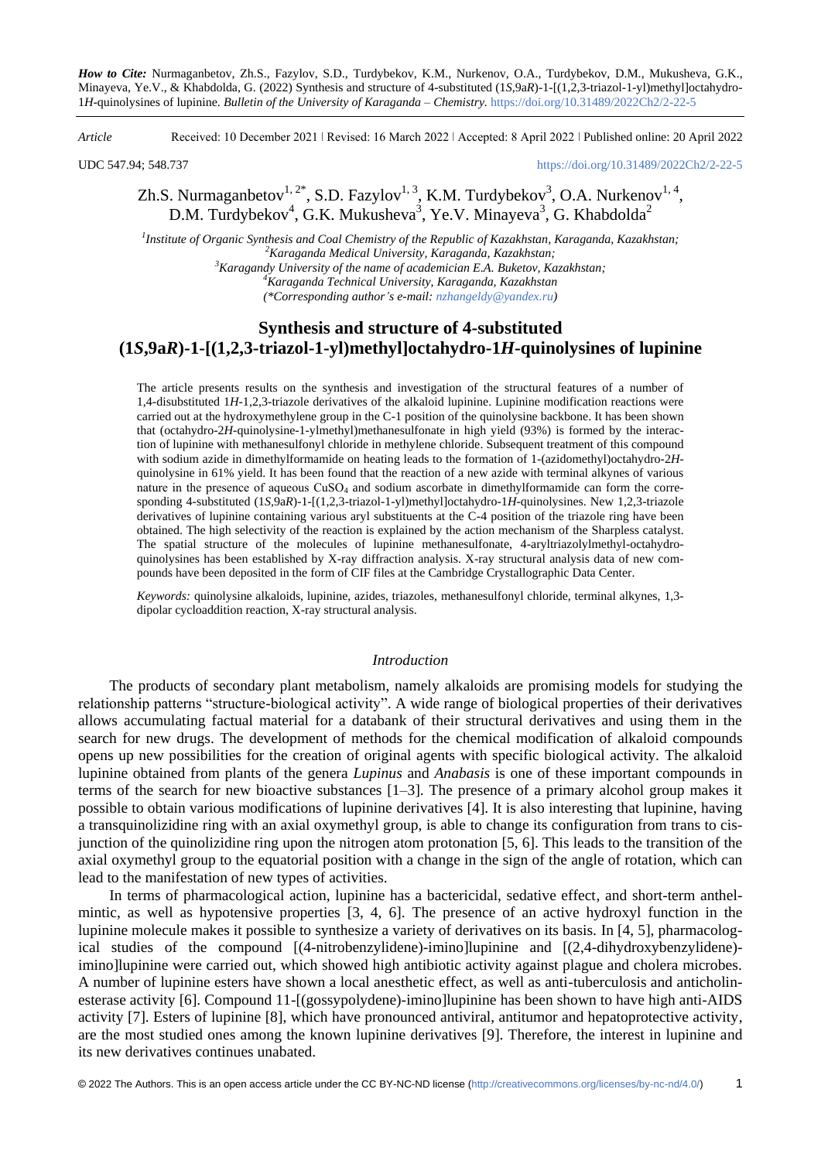*How to Cite:* Nurmaganbetov, Zh.S., Fazylov, S.D., Turdybekov, K.M., Nurkenov, O.A., Turdybekov, D.M., Mukusheva, G.K., Minayeva, Ye.V., & Khabdolda, G. (2022) Synthesis and structure of 4-substituted (1*S*,9a*R*)-1-[(1,2,3-triazol-1-yl)methyl]octahydro-1*H*-quinolysines of lupinine. *Bulletin of the University of Karaganda – Chemistry.* https://doi.org/10.31489/2022Ch2/2-22-5

*Article* Received: 10 December 2021 ǀ Revised: 16 March 2022 ǀ Accepted: 8 April 2022 ǀ Published online: 20 April 2022

UDC 547.94; 548.737 <https://doi.org/10.31489/2022Ch2/2-22-5>

Zh.S. Nurmaganbetov<sup>1, 2\*</sup>, S.D. Fazylov<sup>1, 3</sup>, K.M. Turdybekov<sup>3</sup>, O.A. Nurkenov<sup>1, 4</sup>, D.M. Turdybekov<sup>4</sup>, G.K. Mukusheva<sup>3</sup>, Ye.V. Minayeva<sup>3</sup>, G. Khabdolda<sup>2</sup>

 *Institute of Organic Synthesis and Coal Chemistry of the Republic of Kazakhstan, Karaganda, Kazakhstan; Karaganda Medical University, Karaganda, Kazakhstan; Karagandy University of the name of academician E.A. Buketov, Kazakhstan; Karaganda Technical University, Karaganda, Kazakhstan (\*Corresponding author's e-mail[: nzhangeldy@yandex.ru\)](mailto:nzhangeldy@yandex.ru)*

## **Synthesis and structure of 4-substituted (1***S***,9a***R***)-1-[(1,2,3-triazol-1-yl)methyl]octahydro-1***H***-quinolysines of lupinine**

The article presents results on the synthesis and investigation of the structural features of a number of 1,4-disubstituted 1*H*-1,2,3-triazole derivatives of the alkaloid lupinine. Lupinine modification reactions were carried out at the hydroxymethylene group in the C-1 position of the quinolysine backbone. It has been shown that (octahydro-2*H*-quinolysine-1-ylmethyl)methanesulfonate in high yield (93%) is formed by the interaction of lupinine with methanesulfonyl chloride in methylene chloride. Subsequent treatment of this compound with sodium azide in dimethylformamide on heating leads to the formation of 1-(azidomethyl)octahydro-2*H*quinolysine in 61% yield. It has been found that the reaction of a new azide with terminal alkynes of various nature in the presence of aqueous  $CuSO<sub>4</sub>$  and sodium ascorbate in dimethylformamide can form the corresponding 4-substituted (1*S,*9a*R*)-1-[(1,2,3-triazol-1-yl)methyl]octahydro-1*H*-quinolysines. New 1,2,3-triazole derivatives of lupinine containing various aryl substituents at the C-4 position of the triazole ring have been obtained. The high selectivity of the reaction is explained by the action mechanism of the Sharpless catalyst. The spatial structure of the molecules of lupinine methanesulfonate, 4-aryltriazolylmethyl-octahydroquinolysines has been established by X-ray diffraction analysis. X-ray structural analysis data of new compounds have been deposited in the form of CIF files at the Cambridge Crystallographic Data Center.

*Keywords:* quinolysine alkaloids, lupinine, azides, triazoles, methanesulfonyl chloride, terminal alkynes, 1,3 dipolar cycloaddition reaction, X-ray structural analysis.

### *Introduction*

The products of secondary plant metabolism, namely alkaloids are promising models for studying the relationship patterns "structure-biological activity". A wide range of biological properties of their derivatives allows accumulating factual material for a databank of their structural derivatives and using them in the search for new drugs. The development of methods for the chemical modification of alkaloid compounds opens up new possibilities for the creation of original agents with specific biological activity. The alkaloid lupinine obtained from plants of the genera *Lupinus* and *Anabasis* is one of these important compounds in terms of the search for new bioactive substances [1–3]. The presence of a primary alcohol group makes it possible to obtain various modifications of lupinine derivatives [4]. It is also interesting that lupinine, having a transquinolizidine ring with an axial oxymethyl group, is able to change its configuration from trans to cisjunction of the quinolizidine ring upon the nitrogen atom protonation [5, 6]. This leads to the transition of the axial oxymethyl group to the equatorial position with a change in the sign of the angle of rotation, which can lead to the manifestation of new types of activities.

In terms of pharmacological action, lupinine has a bactericidal, sedative effect, and short-term anthelmintic, as well as hypotensive properties [3, 4, 6]. The presence of an active hydroxyl function in the lupinine molecule makes it possible to synthesize a variety of derivatives on its basis. In [4, 5], pharmacological studies of the compound [(4-nitrobenzylidene)-imino]lupinine and [(2,4-dihydroxybenzylidene) imino]lupinine were carried out, which showed high antibiotic activity against plague and cholera microbes. A number of lupinine esters have shown a local anesthetic effect, as well as anti-tuberculosis and anticholinesterase activity [6]. Compound 11-[(gossypolydene)-imino]lupinine has been shown to have high anti-AIDS activity [7]. Esters of lupinine [8], which have pronounced antiviral, antitumor and hepatoprotective activity, are the most studied ones among the known lupinine derivatives [9]. Therefore, the interest in lupinine and its new derivatives continues unabated.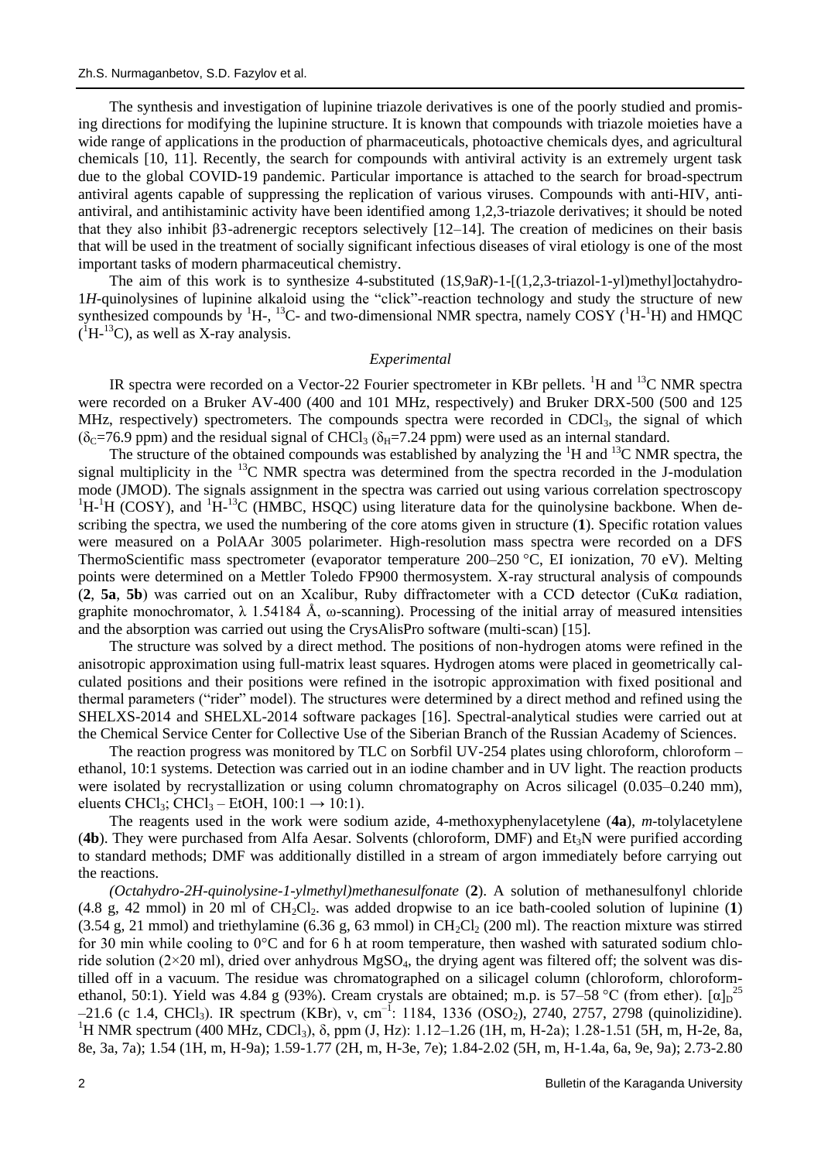The synthesis and investigation of lupinine triazole derivatives is one of the poorly studied and promising directions for modifying the lupinine structure. It is known that compounds with triazole moieties have a wide range of applications in the production of pharmaceuticals, photoactive chemicals dyes, and agricultural chemicals [10, 11]. Recently, the search for compounds with antiviral activity is an extremely urgent task due to the global COVID-19 pandemic. Particular importance is attached to the search for broad-spectrum antiviral agents capable of suppressing the replication of various viruses. Compounds with anti-HIV, antiantiviral, and antihistaminic activity have been identified among 1,2,3-triazole derivatives; it should be noted that they also inhibit β3-adrenergic receptors selectively [12–14]. The creation of medicines on their basis that will be used in the treatment of socially significant infectious diseases of viral etiology is one of the most important tasks of modern pharmaceutical chemistry.

The aim of this work is to synthesize 4-substituted (1*S*,9a*R*)-1-[(1,2,3-triazol-1-yl)methyl]octahydro-1*H*-quinolysines of lupinine alkaloid using the "click"-reaction technology and study the structure of new synthesized compounds by  ${}^{1}H$ -,  ${}^{13}C$ - and two-dimensional NMR spectra, namely COSY ( ${}^{1}H$ - ${}^{1}H$ ) and HMQC  $({}^{I}H-{}^{13}C)$ , as well as X-ray analysis.

#### *Experimental*

IR spectra were recorded on a Vector-22 Fourier spectrometer in KBr pellets. <sup>1</sup>H and <sup>13</sup>C NMR spectra were recorded on a Bruker AV-400 (400 and 101 MHz, respectively) and Bruker DRX-500 (500 and 125 MHz, respectively) spectrometers. The compounds spectra were recorded in CDCl<sub>3</sub>, the signal of which  $(\delta_c=76.9 \text{ ppm})$  and the residual signal of CHCl<sub>3</sub> ( $\delta_H=7.24 \text{ ppm}$ ) were used as an internal standard.

The structure of the obtained compounds was established by analyzing the  ${}^{1}H$  and  ${}^{13}C$  NMR spectra, the signal multiplicity in the <sup>13</sup>C NMR spectra was determined from the spectra recorded in the J-modulation mode (JMOD). The signals assignment in the spectra was carried out using various correlation spectroscopy  ${}^{1}H$ <sup>1</sup>H (COSY), and  ${}^{1}H$ <sup>13</sup>C (HMBC, HSQC) using literature data for the quinolysine backbone. When describing the spectra, we used the numbering of the core atoms given in structure (**1**). Specific rotation values were measured on a PolAAr 3005 polarimeter. High-resolution mass spectra were recorded on a DFS ThermoScientific mass spectrometer (evaporator temperature 200–250 °C, EI ionization, 70 eV). Melting points were determined on a Mettler Toledo FP900 thermosystem. X-ray structural analysis of compounds (**2**, **5a**, **5b**) was carried out on an Xcalibur, Ruby diffractometer with a CCD detector (CuKα radiation, graphite monochromator,  $\lambda$  1.54184 Å, ω-scanning). Processing of the initial array of measured intensities and the absorption was carried out using the CrysAlisPro software (multi-scan) [15].

The structure was solved by a direct method. The positions of non-hydrogen atoms were refined in the anisotropic approximation using full-matrix least squares. Hydrogen atoms were placed in geometrically calculated positions and their positions were refined in the isotropic approximation with fixed positional and thermal parameters ("rider" model). The structures were determined by a direct method and refined using the SHELXS-2014 and SHELXL-2014 software packages [16]. Spectral-analytical studies were carried out at the Chemical Service Center for Collective Use of the Siberian Branch of the Russian Academy of Sciences.

The reaction progress was monitored by TLC on Sorbfil UV-254 plates using chloroform, chloroform – ethanol, 10:1 systems. Detection was carried out in an iodine chamber and in UV light. The reaction products were isolated by recrystallization or using column chromatography on Acros silicagel (0.035–0.240 mm), eluents CHCl<sub>3</sub>; CHCl<sub>3</sub> – EtOH, 100:1  $\rightarrow$  10:1).

The reagents used in the work were sodium azide, 4-methoxyphenylacetylene (**4a**), *m*-tolylacetylene  $(4b)$ . They were purchased from Alfa Aesar. Solvents (chloroform, DMF) and Et<sub>3</sub>N were purified according to standard methods; DMF was additionally distilled in a stream of argon immediately before carrying out the reactions.

*(Octahydro-2H-quinolysine-1-ylmethyl)methanesulfonate* (**2**). A solution of methanesulfonyl chloride  $(4.8 \text{ g}, 42 \text{ mmol})$  in 20 ml of CH<sub>2</sub>Cl<sub>2</sub>. was added dropwise to an ice bath-cooled solution of lupinine  $(1)$ (3.54 g, 21 mmol) and triethylamine (6.36 g, 63 mmol) in  $CH_2Cl_2$  (200 ml). The reaction mixture was stirred for 30 min while cooling to 0°C and for 6 h at room temperature, then washed with saturated sodium chloride solution ( $2\times20$  ml), dried over anhydrous MgSO<sub>4</sub>, the drying agent was filtered off; the solvent was distilled off in a vacuum. The residue was chromatographed on a silicagel column (chloroform, chloroformethanol, 50:1). Yield was 4.84 g (93%). Cream crystals are obtained; m.p. is 57–58 °C (from ether).  $[\alpha]_D^2$ <sup>5</sup>  $-21.6$  (c 1.4, CHCl<sub>3</sub>). IR spectrum (KBr), v, cm<sup>-1</sup>: 1184, 1336 (OSO<sub>2</sub>), 2740, 2757, 2798 (quinolizidine). <sup>1</sup>H NMR spectrum (400 MHz, CDCl<sub>3</sub>),  $\delta$ , ppm (J, Hz): 1.12–1.26 (1H, m, H-2a); 1.28-1.51 (5H, m, H-2e, 8a, 8e, 3a, 7a); 1.54 (1H, m, H-9a); 1.59-1.77 (2H, m, H-3e, 7e); 1.84-2.02 (5H, m, H-1.4a, 6a, 9e, 9a); 2.73-2.80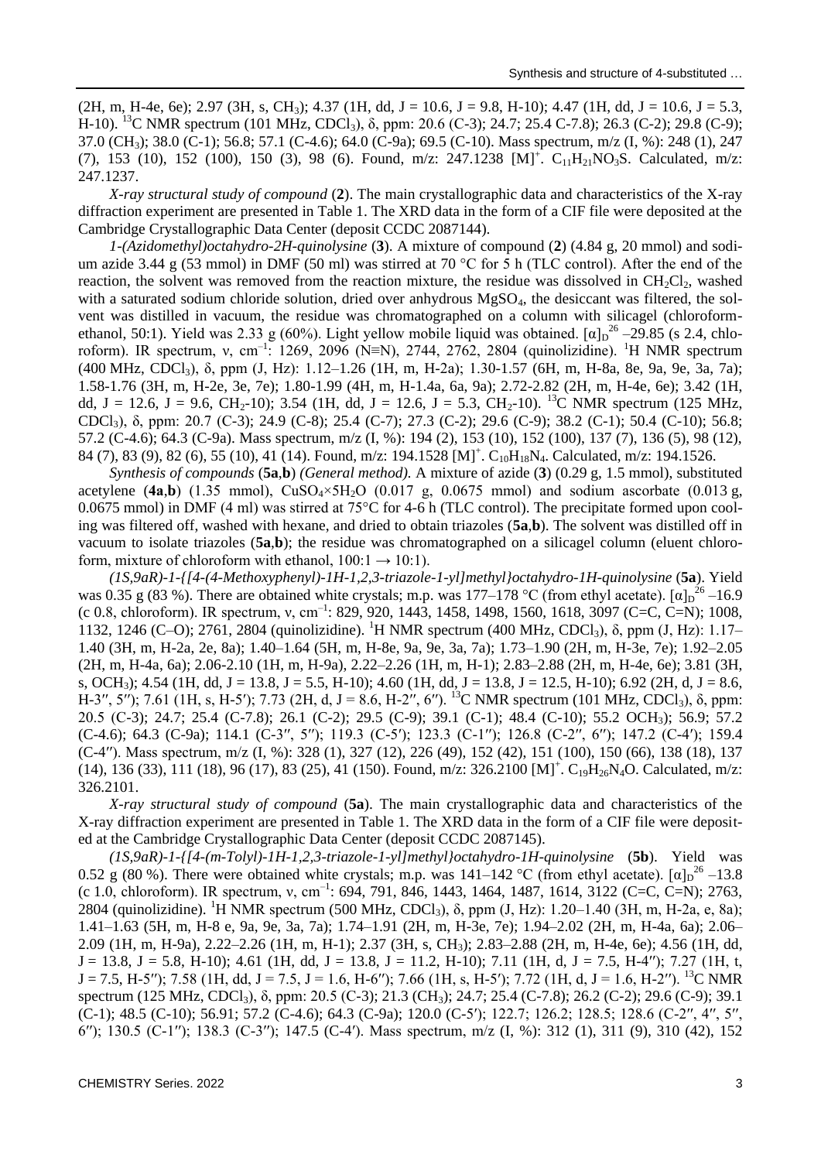$(2H, m, H-4e, 6e)$ ; 2.97 (3H, s, CH<sub>3</sub>); 4.37 (1H, dd, J = 10.6, J = 9.8, H-10); 4.47 (1H, dd, J = 10.6, J = 5.3, H-10). <sup>13</sup>C NMR spectrum (101 MHz, CDCl3), δ, ppm: 20.6 (С-3); 24.7; 25.4 C-7.8); 26.3 (C-2); 29.8 (C-9); 37.0 (CH3); 38.0 (C-1); 56.8; 57.1 (C-4.6); 64.0 (C-9a); 69.5 (C-10). Mass spectrum, m/z (I, %): 248 (1), 247 (7), 153 (10), 152 (100), 150 (3), 98 (6). Found, m/z: 247.1238  $[M]^{\dagger}$ . C<sub>11</sub>H<sub>21</sub>NO<sub>3</sub>S. Calculated, m/z: 247.1237.

*X-ray structural study of compound* (**2**). The main crystallographic data and characteristics of the X-ray diffraction experiment are presented in Table 1. The XRD data in the form of a CIF file were deposited at the Cambridge Crystallographic Data Center (deposit CCDC 2087144).

*1-(Azidomethyl)octahydro-2H-quinolysine* (**3**). A mixture of compound (**2**) (4.84 g, 20 mmol) and sodium azide 3.44 g (53 mmol) in DMF (50 ml) was stirred at 70 °C for 5 h (TLC control). After the end of the reaction, the solvent was removed from the reaction mixture, the residue was dissolved in  $CH<sub>2</sub>Cl<sub>2</sub>$ , washed with a saturated sodium chloride solution, dried over anhydrous MgSO<sub>4</sub>, the desiccant was filtered, the solvent was distilled in vacuum, the residue was chromatographed on a column with silicagel (chloroformethanol, 50:1). Yield was 2.33 g (60%). Light yellow mobile liquid was obtained.  $[\alpha]_D^2$ <sup>6</sup> –29.85 (s 2.4, chloroform). IR spectrum, v, cm<sup>-1</sup>: 1269, 2096 (N=N), 2744, 2762, 2804 (quinolizidine). <sup>1</sup>H NMR spectrum (400 MHz, CDCl3), δ, ppm (J, Hz): 1.12–1.26 (1H, m, H-2а); 1.30-1.57 (6H, m, H-8a, 8e, 9a, 9e, 3a, 7a); 1.58-1.76 (3H, m, H-2e, 3e, 7e); 1.80-1.99 (4H, m, H-1.4a, 6a, 9a); 2.72-2.82 (2H, m, H-4e, 6e); 3.42 (1H, dd, J = 12.6, J = 9.6, CH<sub>2</sub>-10); 3.54 (1H, dd, J = 12.6, J = 5.3, CH<sub>2</sub>-10). <sup>13</sup>C NMR spectrum (125 MHz, CDCl3), δ, ppm: 20.7 (С-3); 24.9 (C-8); 25.4 (C-7); 27.3 (C-2); 29.6 (C-9); 38.2 (C-1); 50.4 (C-10); 56.8; 57.2 (C-4.6); 64.3 (C-9a). Mass spectrum, m/z (I, %): 194 (2), 153 (10), 152 (100), 137 (7), 136 (5), 98 (12), 84 (7), 83 (9), 82 (6), 55 (10), 41 (14). Found, m/z: 194.1528 [M]<sup>+</sup>. C<sub>10</sub>H<sub>18</sub>N<sub>4</sub>. Calculated, m/z: 194.1526.

*Synthesis of compounds* (**5a**,**b**) *(General method).* A mixture of azide (**3**) (0.29 g, 1.5 mmol), substituted acetylene ( $4a,b$ ) (1.35 mmol),  $CuSO<sub>4</sub> \times 5H<sub>2</sub>O$  (0.017 g, 0.0675 mmol) and sodium ascorbate (0.013 g, 0.0675 mmol) in DMF (4 ml) was stirred at 75°C for 4-6 h (TLC control). The precipitate formed upon cooling was filtered off, washed with hexane, and dried to obtain triazoles (**5a**,**b**). The solvent was distilled off in vacuum to isolate triazoles (**5a**,**b**); the residue was chromatographed on a silicagel column (eluent chloroform, mixture of chloroform with ethanol,  $100:1 \rightarrow 10:1$ ).

*(1S,9aR)-1-{[4-(4-Methoxyphenyl)-1H-1,2,3-triazole-1-yl]methyl}octahydro-1H-quinolysine* (**5a**). Yield was 0.35 g (83 %). There are obtained white crystals; m.p. was  $177-178$  °C (from ethyl acetate).  $\left[\alpha\right]_D^2$ <sup>6</sup> -16.9  $(c \ 0.8, \text{ chloroform})$ . IR spectrum, v, cm<sup>-1</sup>: 829, 920, 1443, 1458, 1498, 1560, 1618, 3097 (C=C, C=N); 1008, 1132, 1246 (C–O); 2761, 2804 (quinolizidine). <sup>1</sup>H NMR spectrum (400 MHz, CDCl3), δ, ppm (J, Hz): 1.17– 1.40 (3H, m, H-2a, 2e, 8a); 1.40–1.64 (5H, m, H-8e, 9a, 9e, 3a, 7a); 1.73–1.90 (2H, m, H-3e, 7e); 1.92–2.05 (2H, m, H-4a, 6a); 2.06-2.10 (1H, m, H-9a), 2.22–2.26 (1H, m, H-1); 2.83–2.88 (2H, m, H-4e, 6e); 3.81 (3H, s, OCH<sub>3</sub>); 4.54 (1H, dd, J = 13.8, J = 5.5, H-10); 4.60 (1H, dd, J = 13.8, J = 12.5, H-10); 6.92 (2H, d, J = 8.6, H-3'', 5''); 7.61 (1H, s, H-5'); 7.73 (2H, d, J = 8.6, H-2'', 6''). <sup>13</sup>C NMR spectrum (101 MHz, CDCl<sub>3</sub>),  $\delta$ , ppm: 20.5 (С-3); 24.7; 25.4 (C-7.8); 26.1 (C-2); 29.5 (C-9); 39.1 (C-1); 48.4 (C-10); 55.2 OCH3); 56.9; 57.2 (C-4.6); 64.3 (C-9a); 114.1 (C-3ʹʹ, 5ʹʹ); 119.3 (C-5ʹ); 123.3 (C-1ʹʹ); 126.8 (C-2ʹʹ, 6ʹʹ); 147.2 (C-4ʹ); 159.4 (C-4ʹʹ). Mass spectrum, m/z (I, %): 328 (1), 327 (12), 226 (49), 152 (42), 151 (100), 150 (66), 138 (18), 137  $(14)$ , 136 (33), 111 (18), 96 (17), 83 (25), 41 (150). Found, m/z: 326.2100 [M]<sup>+</sup>. C<sub>19</sub>H<sub>26</sub>N<sub>4</sub>O. Calculated, m/z: 326.2101.

*X-ray structural study of compound* (**5a**). The main crystallographic data and characteristics of the X-ray diffraction experiment are presented in Table 1. The XRD data in the form of a CIF file were deposited at the Cambridge Crystallographic Data Center (deposit CCDC 2087145).

*(1S,9aR)-1-{[4-(m-Tolyl)-1H-1,2,3-triazole-1-yl]methyl}octahydro-1H-quinolysine* (**5b**). Yield was 0.52 g (80 %). There were obtained white crystals; m.p. was  $141-142$  °C (from ethyl acetate).  $[\alpha]_D^2$ <sup>6</sup> -13.8 (c 1.0, chloroform). IR spectrum, v, cm<sup>-1</sup>: 694, 791, 846, 1443, 1464, 1487, 1614, 3122 (C=C, C=N); 2763, 2804 (quinolizidine). <sup>1</sup>H NMR spectrum (500 MHz, CDCl<sub>3</sub>),  $\delta$ , ppm (J, Hz): 1.20–1.40 (3H, m, H-2a, e, 8a); 1.41–1.63 (5H, m, H-8 e, 9a, 9e, 3a, 7a); 1.74–1.91 (2H, m, H-3e, 7e); 1.94–2.02 (2H, m, H-4a, 6a); 2.06– 2.09 (1H, m, H-9a), 2.22–2.26 (1H, m, H-1); 2.37 (3H, s, CH3); 2.83–2.88 (2H, m, H-4e, 6e); 4.56 (1H, dd,  $J = 13.8$ ,  $J = 5.8$ ,  $H=10$ ); 4.61 (1H, dd,  $J = 13.8$ ,  $J = 11.2$ ,  $H=10$ ); 7.11 (1H, d,  $J = 7.5$ ,  $H=4$ ′′); 7.27 (1H, t,  $J = 7.5$ , H-5''); 7.58 (1H, dd,  $J = 7.5$ ,  $J = 1.6$ , H-6''); 7.66 (1H, s, H-5'); 7.72 (1H, d,  $J = 1.6$ , H-2''). <sup>13</sup>C NMR spectrum (125 MHz, CDCl<sub>3</sub>), δ, ppm: 20.5 (C-3); 21.3 (CH<sub>3</sub>); 24.7; 25.4 (C-7.8); 26.2 (C-2); 29.6 (C-9); 39.1 (C-1); 48.5 (C-10); 56.91; 57.2 (C-4.6); 64.3 (C-9a); 120.0 (C-5ʹ); 122.7; 126.2; 128.5; 128.6 (C-2ʹʹ, 4ʹʹ, 5ʹʹ, 6ʹʹ); 130.5 (C-1ʹʹ); 138.3 (C-3ʹʹ); 147.5 (C-4ʹ). Mass spectrum, m/z (I, %): 312 (1), 311 (9), 310 (42), 152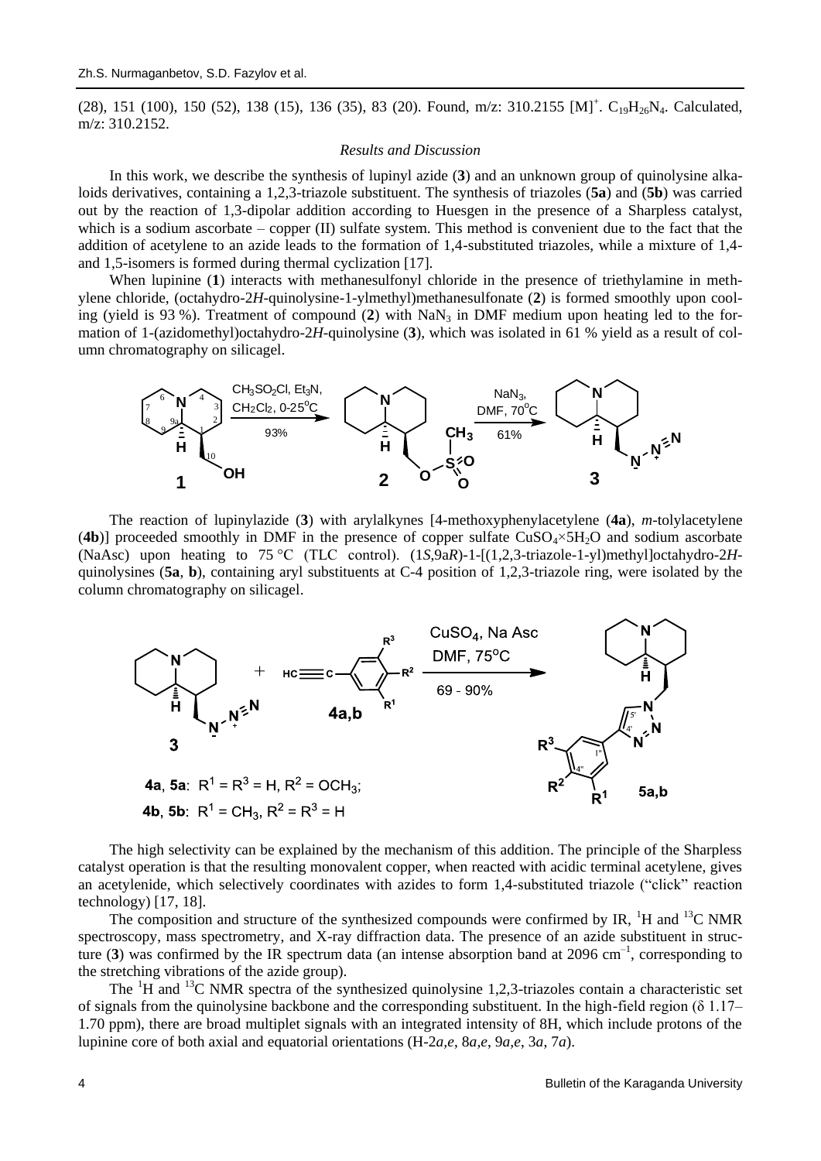$(28)$ , 151 (100), 150 (52), 138 (15), 136 (35), 83 (20). Found, m/z: 310.2155 [M]<sup>+</sup>. C<sub>19</sub>H<sub>26</sub>N<sub>4</sub>. Calculated, m/z: 310.2152.

### *Results and Discussion*

In this work, we describe the synthesis of lupinyl azide (**3**) and an unknown group of quinolysine alkaloids derivatives, containing a 1,2,3-triazole substituent. The synthesis of triazoles (**5a**) and (**5b**) was carried out by the reaction of 1,3-dipolar addition according to Huesgen in the presence of a Sharpless catalyst, which is a sodium ascorbate – copper (II) sulfate system. This method is convenient due to the fact that the addition of acetylene to an azide leads to the formation of 1,4-substituted triazoles, while a mixture of 1,4 and 1,5-isomers is formed during thermal cyclization [17].

When lupinine (**1**) interacts with methanesulfonyl chloride in the presence of triethylamine in methylene chloride, (octahydro-2*H*-quinolysine-1-ylmethyl)methanesulfonate (**2**) is formed smoothly upon cooling (yield is 93 %). Treatment of compound  $(2)$  with NaN<sub>3</sub> in DMF medium upon heating led to the formation of 1-(azidomethyl)octahydro-2*H*-quinolysine (**3**), which was isolated in 61 % yield as a result of column chromatography on silicagel.



The reaction of lupinylazide (**3**) with arylalkynes [4-methoxyphenylacetylene (**4a**), *m*-tolylacetylene (4b)] proceeded smoothly in DMF in the presence of copper sulfate  $CuSO<sub>4</sub> \times 5H<sub>2</sub>O$  and sodium ascorbate (NaAsc) upon heating to 75 °C (TLC control). (1*S*,9a*R*)-1-[(1,2,3-triazole-1-yl)methyl]octahydro-2*H*quinolysines (**5a**, **b**), containing aryl substituents at C-4 position of 1,2,3-triazole ring, were isolated by the column chromatography on silicagel.



The high selectivity can be explained by the mechanism of this addition. The principle of the Sharpless catalyst operation is that the resulting monovalent copper, when reacted with acidic terminal acetylene, gives an acetylenide, which selectively coordinates with azides to form 1,4-substituted triazole ("click" reaction technology) [17, 18].

The composition and structure of the synthesized compounds were confirmed by IR,  $^{1}$ H and  $^{13}$ C NMR spectroscopy, mass spectrometry, and X-ray diffraction data. The presence of an azide substituent in structure  $(3)$  was confirmed by the IR spectrum data (an intense absorption band at 2096 cm<sup>-1</sup>, corresponding to the stretching vibrations of the azide group).

The  ${}^{1}H$  and  ${}^{13}C$  NMR spectra of the synthesized quinolysine 1,2,3-triazoles contain a characteristic set of signals from the quinolysine backbone and the corresponding substituent. In the high-field region ( $\delta$  1.17– 1.70 ppm), there are broad multiplet signals with an integrated intensity of 8H, which include protons of the lupinine core of both axial and equatorial orientations (H-2*a,e*, 8*a,e*, 9*a,e*, 3*a*, 7*a*).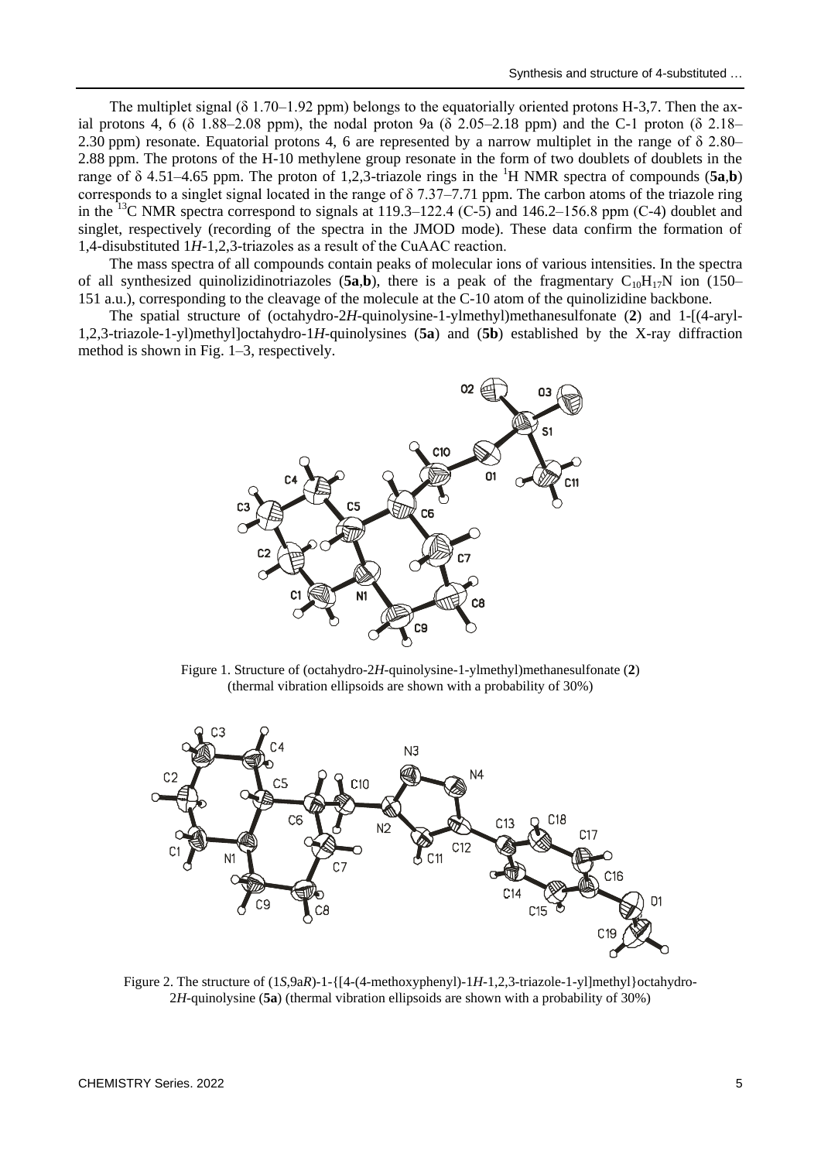The multiplet signal (δ 1.70–1.92 ppm) belongs to the equatorially oriented protons Н-3,7. Then the axial protons 4, 6 ( $\delta$  1.88–2.08 ppm), the nodal proton 9a ( $\delta$  2.05–2.18 ppm) and the C-1 proton ( $\delta$  2.18– 2.30 ppm) resonate. Equatorial protons 4, 6 are represented by a narrow multiplet in the range of δ 2.80– 2.88 ppm. The protons of the H-10 methylene group resonate in the form of two doublets of doublets in the range of  $\delta$  4.51–4.65 ppm. The proton of 1,2,3-triazole rings in the <sup>1</sup>H NMR spectra of compounds (**5a,b**) corresponds to a singlet signal located in the range of δ 7.37–7.71 ppm. The carbon atoms of the triazole ring in the <sup>13</sup>C NMR spectra correspond to signals at 119.3–122.4 (C-5) and 146.2–156.8 ppm (C-4) doublet and singlet, respectively (recording of the spectra in the JMOD mode). These data confirm the formation of 1,4-disubstituted 1*H*-1,2,3-triazoles as a result of the СuAAC reaction.

The mass spectra of all compounds contain peaks of molecular ions of various intensities. In the spectra of all synthesized quinolizidinotriazoles (5a,b), there is a peak of the fragmentary  $C_{10}H_{17}N$  ion (150– 151 a.u.), corresponding to the cleavage of the molecule at the C-10 atom of the quinolizidine backbone.

The spatial structure of (octahydro-2*H*-quinolysine-1-ylmethyl)methanesulfonate (**2**) and 1-[(4-aryl-1,2,3-triazole-1-yl)methyl]octahydro-1*H-*quinolysines (**5a**) and (**5b**) established by the X-ray diffraction method is shown in Fig. 1–3, respectively.



Figure 1. Structure of (octahydro-2*H*-quinolysine-1-ylmethyl)methanesulfonate (**2**) (thermal vibration ellipsoids are shown with a probability of 30%)



Figure 2. The structure of (1*S*,9a*R*)-1-{[4-(4-methoxyphenyl)-1*H*-1,2,3-triazole-1-yl]methyl}octahydro-2*H*-quinolysine (**5a**) (thermal vibration ellipsoids are shown with a probability of 30%)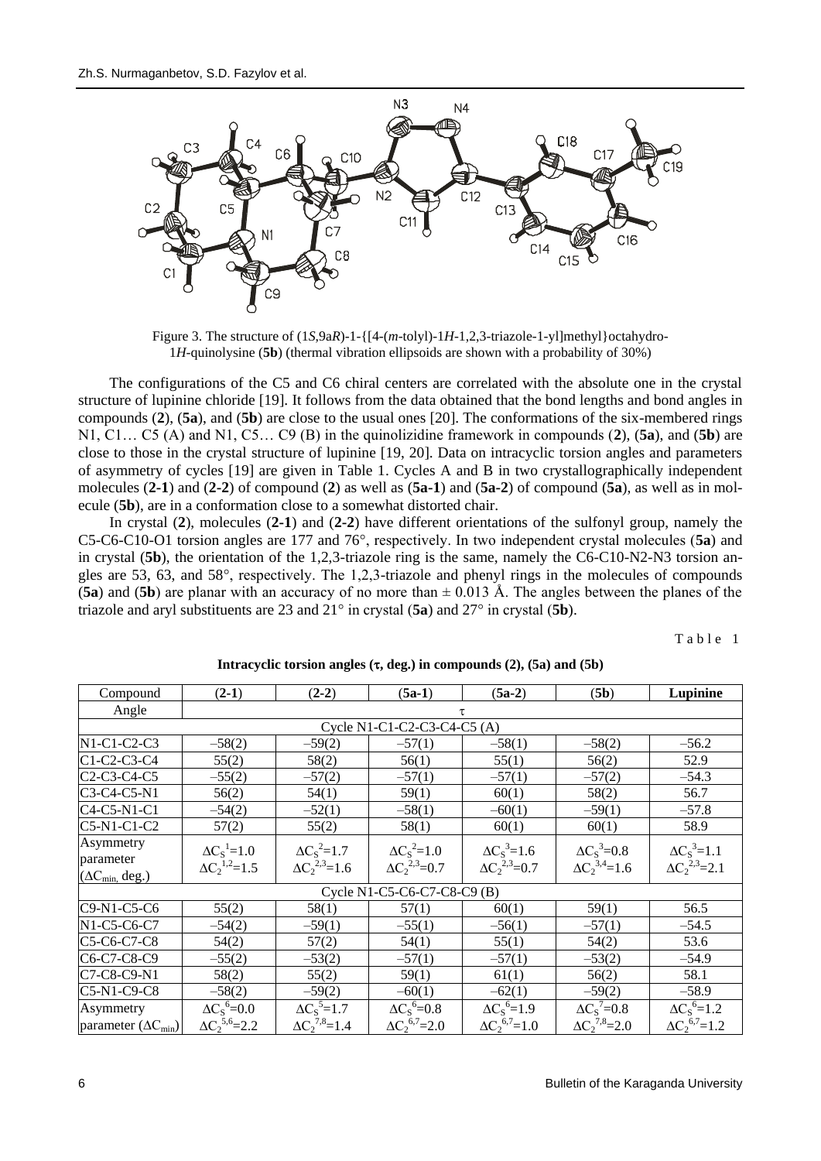

Figure 3. The structure of (1*S*,9a*R*)-1-{[4-(*m*-tolyl)-1*H*-1,2,3-triazole-1-yl]methyl}octahydro-1*H*-quinolysine (**5b**) (thermal vibration ellipsoids are shown with a probability of 30%)

The configurations of the C5 and C6 chiral centers are correlated with the absolute one in the crystal structure of lupinine chloride [19]. It follows from the data obtained that the bond lengths and bond angles in compounds (**2**), (**5a**), and (**5b**) are close to the usual ones [20]. The conformations of the six-membered rings N1, C1… C5 (A) and N1, C5… C9 (B) in the quinolizidine framework in compounds (**2**), (**5a**), and (**5b**) are close to those in the crystal structure of lupinine [19, 20]. Data on intracyclic torsion angles and parameters of asymmetry of cycles [19] are given in Table 1. Cycles A and B in two crystallographically independent molecules (**2-1**) and (**2-2**) of compound (**2**) as well as (**5a-1**) and (**5a-2**) of compound (**5a**), as well as in molecule (**5b**), are in a conformation close to a somewhat distorted chair.

In crystal (**2**), molecules (**2-1**) and (**2-2**) have different orientations of the sulfonyl group, namely the C5-C6-C10-O1 torsion angles are 177 and 76°, respectively. In two independent crystal molecules (**5a**) and in crystal (5b), the orientation of the 1,2,3-triazole ring is the same, namely the C6-C10-N2-N3 torsion angles are 53, 63, and 58°, respectively. The 1,2,3-triazole and phenyl rings in the molecules of compounds (**5a**) and (**5b**) are planar with an accuracy of no more than ± 0.013 Å. The angles between the planes of the triazole and aryl substituents are 23 and 21° in crystal (**5a**) and 27° in crystal (**5b**).

Table 1

| Compound                                                       | $(2-1)$                                           | $(2-2)$                                        | $(5a-1)$                                        | $(5a-2)$                                        | (5b)                                            | Lupinine                                        |  |
|----------------------------------------------------------------|---------------------------------------------------|------------------------------------------------|-------------------------------------------------|-------------------------------------------------|-------------------------------------------------|-------------------------------------------------|--|
| Angle                                                          | τ                                                 |                                                |                                                 |                                                 |                                                 |                                                 |  |
| Cycle N1-C1-C2-C3-C4-C5 (A)                                    |                                                   |                                                |                                                 |                                                 |                                                 |                                                 |  |
| N1-C1-C2-C3                                                    | $-58(2)$                                          | $-59(2)$                                       | $-57(1)$                                        | $-58(1)$                                        | $-58(2)$                                        | $-56.2$                                         |  |
| C1-C2-C3-C4                                                    | 55(2)                                             | 58(2)                                          | 56(1)                                           | 55(1)                                           | 56(2)                                           | 52.9                                            |  |
| C <sub>2</sub> -C <sub>3</sub> -C <sub>4</sub> -C <sub>5</sub> | $-55(2)$                                          | $-57(2)$                                       | $-57(1)$                                        | $-57(1)$                                        | $-57(2)$                                        | $-54.3$                                         |  |
| $C3-C4-C5-N1$                                                  | 56(2)                                             | 54(1)                                          | 59(1)                                           | 60(1)                                           | 58(2)                                           | 56.7                                            |  |
| C <sub>4</sub> -C <sub>5</sub> -N <sub>1</sub> -C <sub>1</sub> | $-54(2)$                                          | $-52(1)$                                       | $-58(1)$                                        | $-60(1)$                                        | $-59(1)$                                        | $-57.8$                                         |  |
| C5-N1-C1-C2                                                    | 57(2)                                             | 55(2)                                          | 58(1)                                           | 60(1)                                           | 60(1)                                           | 58.9                                            |  |
| Asymmetry<br>parameter<br>$(\Delta C_{\text{min}}$ , deg.)     | $\Delta C_S^{-1}$ =1.0<br>$\Delta C_2^{1,2}$ =1.5 | $\Delta C_s^2$ =1.7<br>$\Delta C_2^{2,3}$ =1.6 | $\Delta C_s^2$ =1.0<br>$\Delta C_2^{2,3} = 0.7$ | $\Delta C_s^3$ =1.6<br>$\Delta C_2^{2,3} = 0.7$ | $\Delta C_s^3 = 0.8$<br>$\Delta C_2^{3,4}$ =1.6 | $\Delta C_s^3$ =1.1<br>$\Delta C_2^{2,3} = 2.1$ |  |
| Cycle N1-C5-C6-C7-C8-C9 (B)                                    |                                                   |                                                |                                                 |                                                 |                                                 |                                                 |  |
| C9-N1-C5-C6                                                    | 55(2)                                             | 58(1)                                          | 57(1)                                           | 60(1)                                           | 59(1)                                           | 56.5                                            |  |
| N1-C5-C6-C7                                                    | $-54(2)$                                          | $-59(1)$                                       | $-55(1)$                                        | $-56(1)$                                        | $-57(1)$                                        | $-54.5$                                         |  |
| C5-C6-C7-C8                                                    | 54(2)                                             | 57(2)                                          | 54(1)                                           | 55(1)                                           | 54(2)                                           | 53.6                                            |  |
| C6-C7-C8-C9                                                    | $-55(2)$                                          | $-53(2)$                                       | $-57(1)$                                        | $-57(1)$                                        | $-53(2)$                                        | $-54.9$                                         |  |
| C7-C8-C9-N1                                                    | 58(2)                                             | 55(2)                                          | 59(1)                                           | 61(1)                                           | 56(2)                                           | 58.1                                            |  |
| C5-N1-C9-C8                                                    | $-58(2)$                                          | $-59(2)$                                       | $-60(1)$                                        | $-62(1)$                                        | $-59(2)$                                        | $-58.9$                                         |  |
| Asymmetry                                                      | $\Delta C_S^6 = 0.0$                              | $\Delta C_S^5$ =1.7                            | $\Delta C_S^6 = 0.8$                            | $\Delta C_S^6$ =1.9                             | $\Delta C_S^7 = 0.8$                            | $\Delta C_S^6$ =1.2                             |  |
| parameter $(\Delta C_{min})$                                   | $\Delta C_2^{5,6} = 2.2$                          | $\Delta C_2^{7,8}$ =1.4                        | $\Delta C_2^{6,7} = 2.0$                        | $\Delta C_2^{6,7}$ =1.0                         | $\Delta C_2^{7,8} = 2.0$                        | $\Delta C_2^{6,7}$ =1.2                         |  |

## Intracyclic torsion angles  $(\tau, deg.)$  in compounds  $(2)$ ,  $(5a)$  and  $(5b)$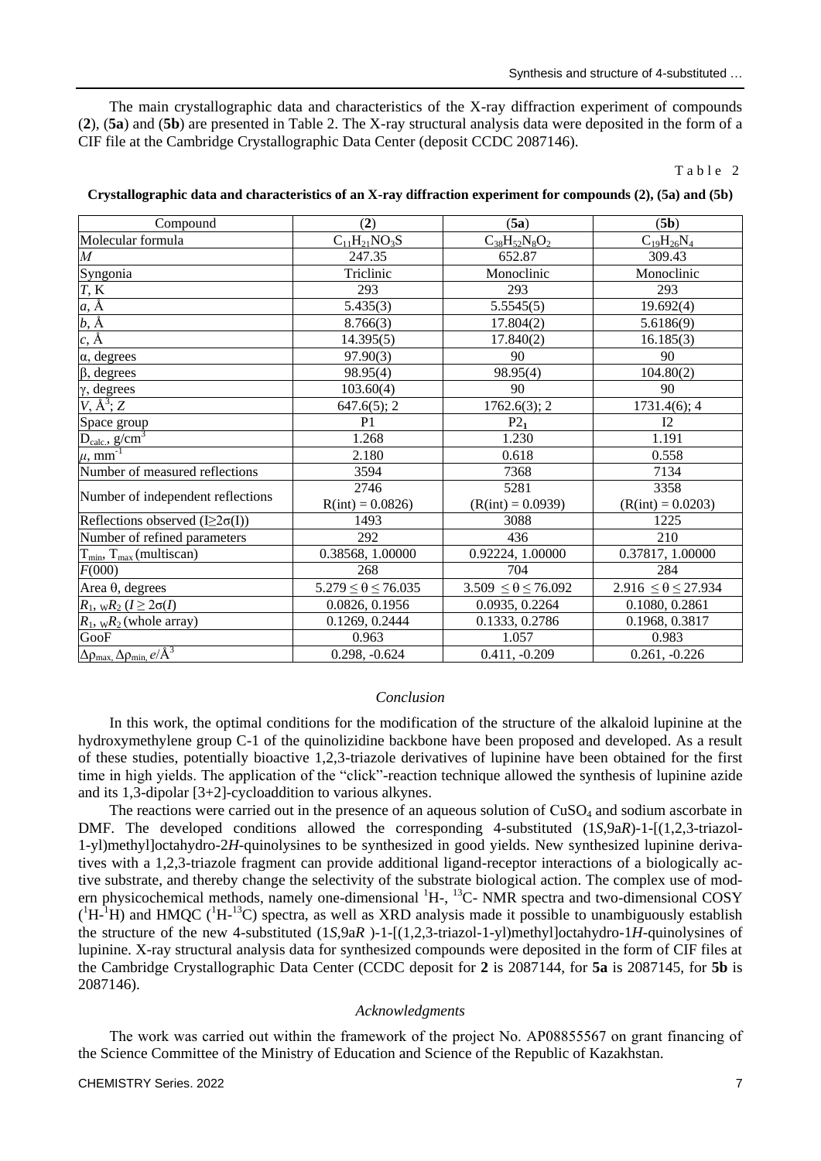The main crystallographic data and characteristics of the X-ray diffraction experiment of compounds (**2**), (**5a**) and (**5b**) are presented in Table 2. The X-ray structural analysis data were deposited in the form of a CIF file at the Cambridge Crystallographic Data Center (deposit CCDC 2087146).

#### Table 2

| Compound                                                                        | (2)                           | (5a)                          | (5b)                          |
|---------------------------------------------------------------------------------|-------------------------------|-------------------------------|-------------------------------|
| Molecular formula                                                               | $C_{11}H_{21}NO_3S$           | $C_{38}H_{52}N_8O_2$          | $C_{19}H_{26}N_4$             |
| $\cal M$                                                                        | 247.35                        | 652.87                        | 309.43                        |
| Syngonia                                                                        | Triclinic                     | Monoclinic                    | Monoclinic                    |
|                                                                                 | 293                           | 293                           | 293                           |
| $\frac{T}{a}$ , $\frac{\lambda}{b}$ , $\frac{\lambda}{c}$ , $\frac{\lambda}{c}$ | 5.435(3)                      | 5.5545(5)                     | 19.692(4)                     |
|                                                                                 | 8.766(3)                      | 17.804(2)                     | 5.6186(9)                     |
|                                                                                 | 14.395(5)                     | 17.840(2)                     | 16.185(3)                     |
| $\alpha$ , degrees                                                              | 97.90(3)                      | 90                            | 90                            |
| $\beta$ , degrees                                                               | 98.95(4)                      | 98.95(4)                      | 104.80(2)                     |
| $\gamma$ , degrees                                                              | 103.60(4)                     | 90                            | 90                            |
| $V, \mathring{A}^3; Z$                                                          | $647.6(5)$ ; 2                | 1762.6(3); 2                  | $1731.4(6)$ ; 4               |
| Space group                                                                     | P <sub>1</sub>                | P2 <sub>1</sub>               | 12                            |
| $D_{calc.}$ , $g/cm^3$                                                          | 1.268                         | 1.230                         | 1.191                         |
| $\mu$ , mm                                                                      | 2.180                         | 0.618                         | 0.558                         |
| Number of measured reflections                                                  | 3594                          | 7368                          | 7134                          |
| Number of independent reflections                                               | 2746                          | 5281                          | 3358                          |
|                                                                                 | $R(int) = 0.0826$             | $(R(int) = 0.0939)$           | $(R(int) = 0.0203)$           |
| Reflections observed $(I \geq 2\sigma(I))$                                      | 1493                          | 3088                          | 1225                          |
| Number of refined parameters                                                    | 292                           | 436                           | 210                           |
| $T_{min}$ , $T_{max}$ (multiscan)                                               | 0.38568, 1.00000              | 0.92224, 1.00000              | 0.37817, 1.00000              |
| F(000)                                                                          | 268                           | 704                           | 284                           |
| Area $θ$ , degrees                                                              | $5.279 \le \theta \le 76.035$ | $3.509 \le \theta \le 76.092$ | $2.916 \le \theta \le 27.934$ |
| $R_1$ , w $R_2$ ( $I \geq 2\sigma(I)$                                           | 0.0826, 0.1956                | 0.0935, 0.2264                | 0.1080, 0.2861                |
| $R_1$ , w $R_2$ (whole array)                                                   | 0.1269, 0.2444                | 0.1333, 0.2786                | 0.1968, 0.3817                |
| GooF                                                                            | 0.963                         | 1.057                         | 0.983                         |
| $\Delta \rho_{\text{max}} \Delta \rho_{\text{min}} e / \AA^3$                   | $0.298, -0.624$               | $0.411, -0.209$               | $0.261, -0.226$               |

**Crystallographic data and characteristics of an X-ray diffraction experiment for compounds (2), (5a) and (5b)**

### *Conclusion*

In this work, the optimal conditions for the modification of the structure of the alkaloid lupinine at the hydroxymethylene group C-1 of the quinolizidine backbone have been proposed and developed. As a result of these studies, potentially bioactive 1,2,3-triazole derivatives of lupinine have been obtained for the first time in high yields. The application of the "click"-reaction technique allowed the synthesis of lupinine azide and its 1,3-dipolar [3+2]-cycloaddition to various alkynes.

The reactions were carried out in the presence of an aqueous solution of  $CuSO<sub>4</sub>$  and sodium ascorbate in DMF. The developed conditions allowed the corresponding 4-substituted  $(1S, 9aR)$ -1- $[(1,2,3-*triaz*ol-*triaz*ol-*triaz*ol-*triaz*ol-*triaz*ol-*triaz*ol-*triaz*ol-*triaz*ol-*triaz*ol-*triaz*ol-*triaz*ol-*triaz*ol-*triaz*ol-$ 1-yl)methyl]octahydro-2*H*-quinolysines to be synthesized in good yields. New synthesized lupinine derivatives with a 1,2,3-triazole fragment can provide additional ligand-receptor interactions of a biologically active substrate, and thereby change the selectivity of the substrate biological action. The complex use of modern physicochemical methods, namely one-dimensional <sup>1</sup>H-, <sup>13</sup>C- NMR spectra and two-dimensional COSY  $({}^{1}H^{-1}H)$  and HMQC ( ${}^{1}H^{-13}C$ ) spectra, as well as XRD analysis made it possible to unambiguously establish the structure of the new 4-substituted (1*S*,9a*R* )-1-[(1,2,3-triazol-1-yl)methyl]octahydro-1*H*-quinolysines of lupinine. X-ray structural analysis data for synthesized compounds were deposited in the form of CIF files at the Cambridge Crystallographic Data Center (CCDC deposit for **2** is 2087144, for **5a** is 2087145, for **5b** is 2087146).

### *Acknowledgments*

The work was carried out within the framework of the project No. АР08855567 on grant financing of the Science Committee of the Ministry of Education and Science of the Republic of Kazakhstan.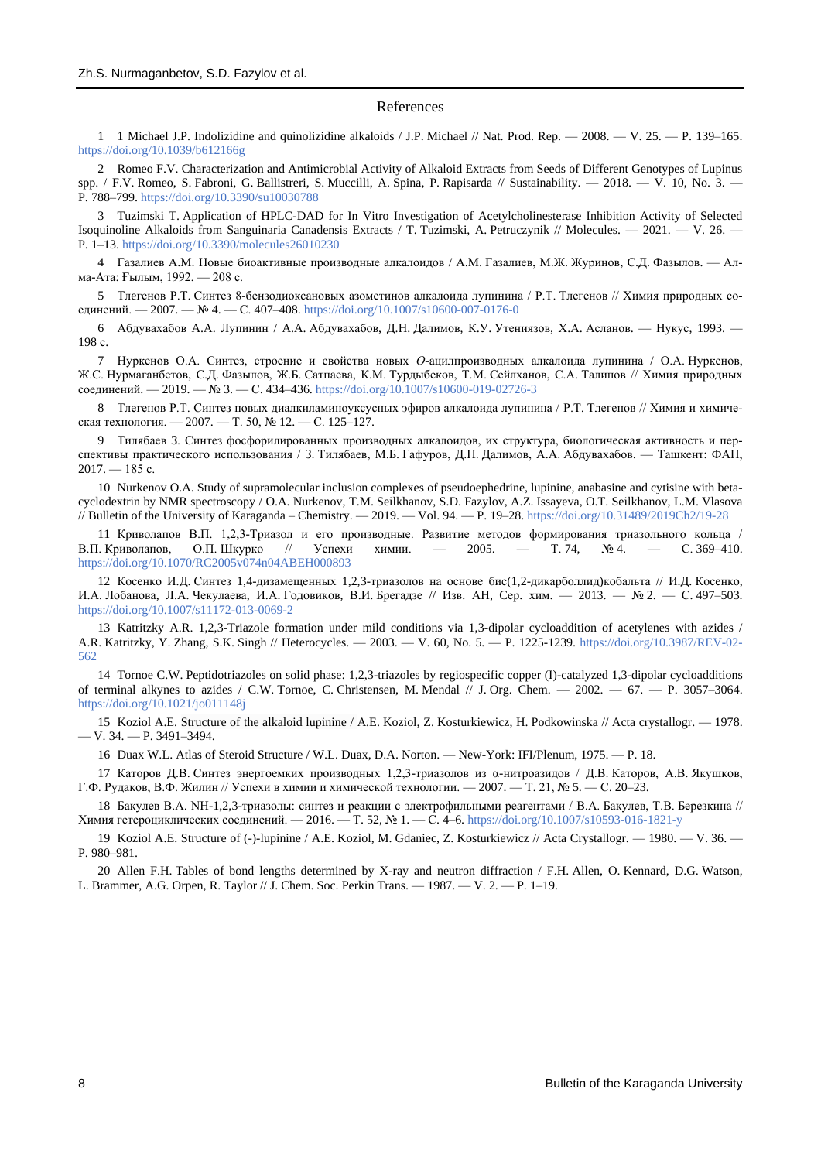#### References

1 1 Michael J.P. Indolizidine and quinolizidine alkaloids / J.P. Michael // Nat. Prod. Rep. — 2008. — V. 25. — P. 139–165. <https://doi.org/10.1039/b612166g>

2 Romeo F.V. Characterization and Antimicrobial Activity of Alkaloid Extracts from Seeds of Different Genotypes of Lupinus spp. / F.V. Romeo, S. Fabroni, G. Ballistreri, S. Muccilli, A. Spina, P. Rapisarda // Sustainability. — 2018. — V. 10, No. 3. -P. 788–799[. https://doi.org/10.3390/su10030788](https://doi.org/10.3390/su10030788)

3 Tuzimski T. Application of HPLC-DAD for In Vitro Investigation of Acetylcholinesterase Inhibition Activity of Selected Isoquinoline Alkaloids from Sanguinaria Canadensis Extracts / T. Tuzimski, A. Petruczynik // Molecules. — 2021. — V. 26. — P. 1–13[. https://doi.org/10.3390/molecules26010230](https://doi.org/10.3390/molecules26010230)

4 Газалиев А.М. Новые биоактивные производные алкалоидов / А.М. Газалиев, М.Ж. Журинов, С.Д. Фазылов. — Алма-Ата: Ғылым, 1992. — 208 с.

5 Тлeгенов Р.Т. Синтез 8-бензодиоксановых азометинов алкалоида лупинина / Р.Т. Тлегенов // Химия природных соединений. — 2007. — № 4. — С. 407–408. <https://doi.org/10.1007/s10600-007-0176-0>

6 Абдувахабов A.A. Лупинин / A.A. Абдувахабов, Д.Н. Далимов, К.У. Утениязов, Х.А. Асланов. — Нукус, 1993. — 198 с.

7 Нуркенов О.А. Синтез, строение и свойства новых *О*-ацилпроизводных алкалоида лупинина / О.А. Нуркенов, Ж.С. Нурмаганбетов, С.Д. Фазылов, Ж.Б. Сатпаева, К.М. Турдыбеков, Т.М. Сейлханов, С.А. Талипов // Химия природных соединений. — 2019. — № 3. — С. 434–436. <https://doi.org/10.1007/s10600-019-02726-3>

8 Тлегенов Р.Т. Синтез новых диалкиламиноуксусных эфиров алкалоида лупинина / Р.Т. Тлегенов // Химия и химическая технология. — 2007. — Т. 50, № 12. — С. 125–127.

9 Тилябаев З. Синтез фосфорилированных производных алкалоидов, их структура, биологическая активность и перспективы практического использования / З. Тилябаев, М.Б. Гафуров, Д.Н. Далимов, А.А. Абдувахабов. — Ташкент: ФАН, 2017. — 185 с.

10 Nurkenov O.A. Study of supramolecular inclusion complexes of pseudoephedrine, lupinine, anabasine and cytisine with betacyclodextrin by NMR spectroscopy / O.A. Nurkenov, T.M. Seilkhanov, S.D. Fazylov, A.Z. Issayeva, O.T. Seilkhanov, L.M. Vlasova // Bulletin of the University of Karaganda – Chemistry. — 2019. — Vol. 94. — P. 19–28. <https://doi.org/10.31489/2019Ch2/19-28>

11 Криволапов В.П. 1,2,3-Триазол и его производные. Развитие методов формирования триазольного кольца / В.П. Криволапов, О.П. Шкурко // Успехи химии. — 2005. — Т. 74, № 4. — С. 369–410. <https://doi.org/10.1070/RC2005v074n04ABEH000893>

12 Косенко И.Д. Синтез 1,4-дизамещенных 1,2,3-триазолов на основе бис(1,2-дикарболлид)кобальта // И.Д. Косенко, И.А. Лобанова, Л.А. Чекулаева, И.А. Годовиков, В.И. Брегадзе // Изв. АН, Cер. хим. — 2013. — № 2. — С. 497–503. <https://doi.org/10.1007/s11172-013-0069-2>

13 Katritzky A.R. 1,2,3-Triazole formation under mild conditions via 1,3-dipolar cycloaddition of acetylenes with azides / A.R. Katritzky, Y. Zhang, S.K. Singh // Heterocycles. — 2003. — V. 60, No. 5. — P. 1225-1239. [https://doi.org/10.3987/REV-02-](https://doi.org/10.3987/REV-02-562) [562](https://doi.org/10.3987/REV-02-562)

14 Tornoe C.W. Peptidotriazoles on solid phase: 1,2,3-triazoles by regiospecific copper (I)-catalyzed 1,3-dipolar cycloadditions of terminal alkynes to azides / C.W. Tornoe, C. Christensen, M. Mendal // J. Org. Chem. — 2002. — 67. — P. 3057–3064. <https://doi.org/10.1021/jo011148j>

15 Koziol A.E. Structure of the alkaloid lupinine / A.E. Koziol, Z. Kosturkiewicz, H. Podkowinska // Acta crystallogr. — 1978. — V. 34. — P. 3491–3494.

16 Duax W.L. Atlas of Steroid Structure / W.L. Duax, D.A. Norton. — New-York: IFI/Plenum, 1975. — P. 18.

17 Каторов Д.В. Синтез энергоемких производных 1,2,3-триазолов из α-нитроазидов / Д.В. Каторов, А.В. Якушков, Г.Ф. Рудаков, В.Ф. Жилин // Успехи в химии и химической технологии. — 2007. — Т. 21, № 5. — С. 20–23.

18 Бакулев В.А. NH-1,2,3-триазолы: синтез и реакции с электрофильными реагентами / В.А. Бакулев, Т.В. Березкина // Химия гетероциклических соединений. — 2016. — Т. 52, № 1. — С. 4–6.<https://doi.org/10.1007/s10593-016-1821-y>

19 Koziol A.E. Structure of (-)-lupinine / A.E. Koziol, M. Gdaniec, Z. Kosturkiewicz // Acta Crystallogr. — 1980. — V. 36. — P. 980–981.

20 Allen F.H. Tables of bond lengths determined by X-ray and neutron diffraction / F.H. Allen, O. Kennard, D.G. Watson, L. Brammer, A.G. Orpen, R. Taylor // J. Chem. Soc. Perkin Trans. — 1987. — V. 2. — P. 1–19.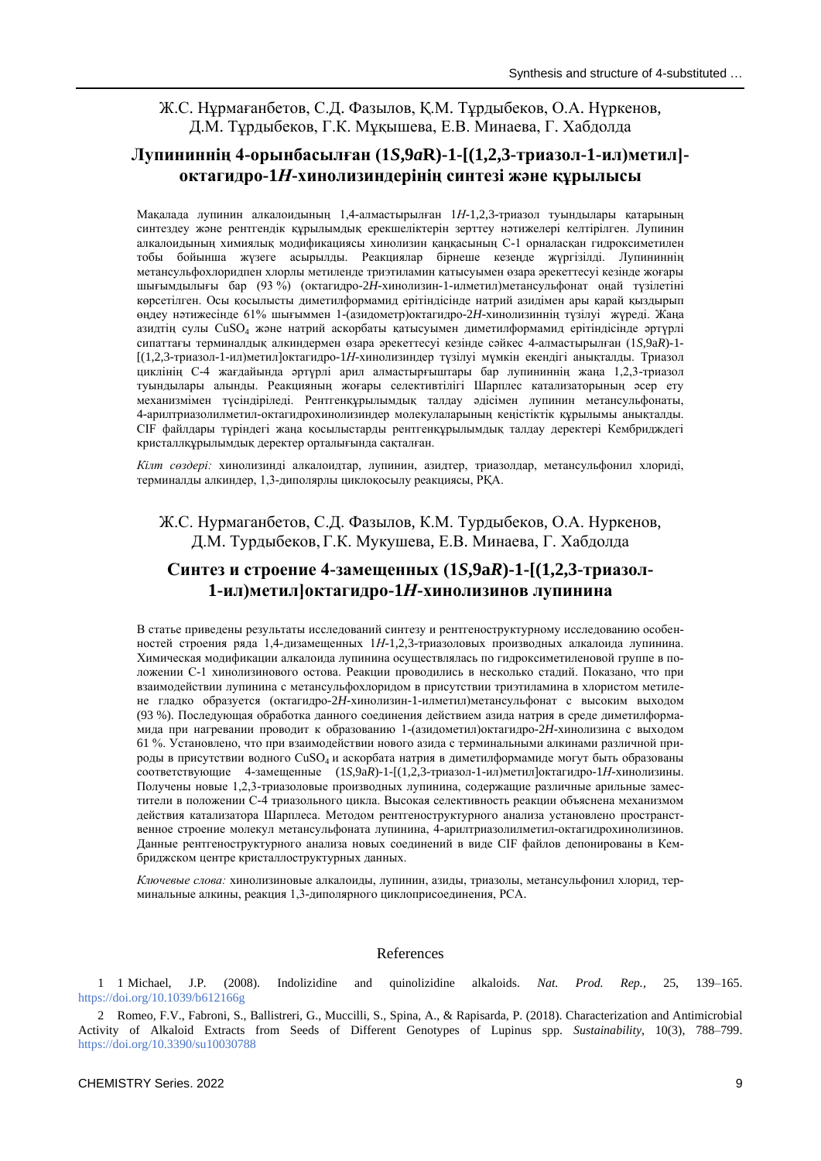# Ж.С. Нұрмағанбетов, С.Д. Фазылов, Қ.М. Тұрдыбеков, О.А. Нүркенов, Д.М. Тұрдыбеков, Г.К. Mұқышева, Е.В. Минаева, Г. Хабдолда

## **Лупининнің 4-орынбасылған (1***S***,9***a***R)-1-[(1,2,3-триазол-1-ил)метил] октагидро-1***Н***-хинолизиндерінің синтезі және құрылысы**

Мақалада лупинин алкалоидының 1,4-алмастырылған 1*Н*-1,2,3-триазол туындылары қатарының синтездеу және рентгендік құрылымдық ерекшеліктерін зерттеу нәтижелері келтірілген. Лупинин алкалоидының химиялық модификациясы хинолизин қаңқасының С-1 орналасқан гидроксиметилен тобы бойынша жүзеге асырылды. Реакциялар бірнеше кезеңде жүргізілді. Лупининнің метансульфохлоридпен хлорлы метиленде триэтиламин қатысуымен өзара әрекеттесуі кезінде жоғары шығымдылығы бар (93 %) (октагидро-2*H*-хинолизин-1-илметил)метансульфонат оңай түзілетіні көрсетілген. Осы қосылысты диметилформамид ерітіндісінде натрий азидімен ары қарай қыздырып өңдеу нәтижесінде 61% шығыммен 1-(азидометр)октагидро-2*H*-хинолизиннің түзілуі жүреді. Жаңа азидтің сулы СuЅО<sup>4</sup> және натрий аскорбаты қатысуымен диметилформамид ерітіндісінде әртүрлі сипаттағы терминалдық алкиндермен өзара әрекеттесуі кезінде сәйкес 4-алмастырылған (1*S*,9a*R*)-1- [(1,2,3-триазол-1-ил)метил]октагидро-1*Н*-хинолизиндер түзілуі мүмкін екендігі анықталды. Триазол циклінің С-4 жағдайында әртүрлі арил алмастырғыштары бар лупининнің жаңа 1,2,3-триазол туындылары алынды. Реакцияның жоғары селективтілігі Шарплес катализаторының әсер ету механизмімен түсіндіріледі. Рентгенқұрылымдық талдау әдісімен лупинин метансульфонаты, 4-арилтриазолилметил-октагидрохинолизиндер молекулаларының кеңістіктік құрылымы анықталды. CIF файлдары түріндегі жаңа қосылыстарды рентгенқұрылымдық талдау деректері Кембридждегі кристаллқұрылымдық деректер орталығында сақталған.

*Кілт сөздері:* хинолизинді алкалоидтар, лупинин, азидтер, триазолдар, метансульфонил хлориді, терминалды алкиндер, 1,3-диполярлы циклоқосылу реакциясы, РҚА.

## Ж.С. Нурмаганбетов, С.Д. Фазылов, К.М. Турдыбеков, О.А. Нуркенов, Д.М. Турдыбеков, Г.К. Мукушева, Е.В. Минаева, Г. Хабдолда

# **Синтез и строение 4-замещенных (1***S***,9a***R***)-1-[(1,2,3-триазол-1-ил)метил]октагидро-1***Н***-хинолизинов лупинина**

В статье приведены результаты исследований синтезу и рентгеноструктурному исследованию особенностей строения ряда 1,4-дизамещенных 1*Н*-1,2,3-триазоловых производных алкалоида лупинина. Химическая модификации алкалоида лупинина осуществлялась по гидроксиметиленовой группе в положении С-1 хинолизинового остова. Реакции проводились в несколько стадий. Показано, что при взаимодействии лупинина с метансульфохлоридом в присутствии триэтиламина в хлористом метилене гладко образуется (октагидро-2*H*-хинолизин-1-илметил)метансульфонат с высоким выходом (93 %). Последующая обработка данного соединения действием азида натрия в среде диметилформамида при нагревании проводит к образованию 1-(азидометил)октагидро-2*H*-хинолизина с выходом 61 %. Установлено, что при взаимодействии нового азида с терминальными алкинами различной природы в присутствии водного CuSO<sub>4</sub> и аскорбата натрия в диметилформамиде могут быть образованы соответствующие 4-замещенные (1*S*,9a*R*)-1-[(1,2,3-триазол-1-ил)метил]октагидро-1*Н*-хинолизины. Получены новые 1,2,3-триазоловые производных лупинина, содержащие различные арильные заместители в положении С-4 триазольного цикла. Высокая селективность реакции объяснена механизмом действия катализатора Шарплеса. Методом рентгеноструктурного анализа установлено пространственное строение молекул метансульфоната лупинина, 4-арилтриазолилметил-октагидрохинолизинов. Данные рентгеноструктурного анализа новых соединений в виде CIF файлов депонированы в Кембриджском центре кристаллоструктурных данных.

*Ключевые слова:* хинолизиновые алкалоиды, лупинин, азиды, триазолы, метансульфонил хлорид, терминальные алкины, реакция 1,3-диполярного циклоприсоединения, РСА.

#### References

1 1 Michael, J.P*.* (2008). Indolizidine and quinolizidine alkaloids. *Nat. Prod. Rep.*, 25, 139–165. <https://doi.org/10.1039/b612166g>

2 Romeo, F.V., Fabroni, S., Ballistreri, G., Muccilli, S., Spina, A., & Rapisarda, P. (2018). Characterization and Antimicrobial Activity of Alkaloid Extracts from Seeds of Different Genotypes of Lupinus spp. *Sustainability*, 10(3), 788–799. <https://doi.org/10.3390/su10030788>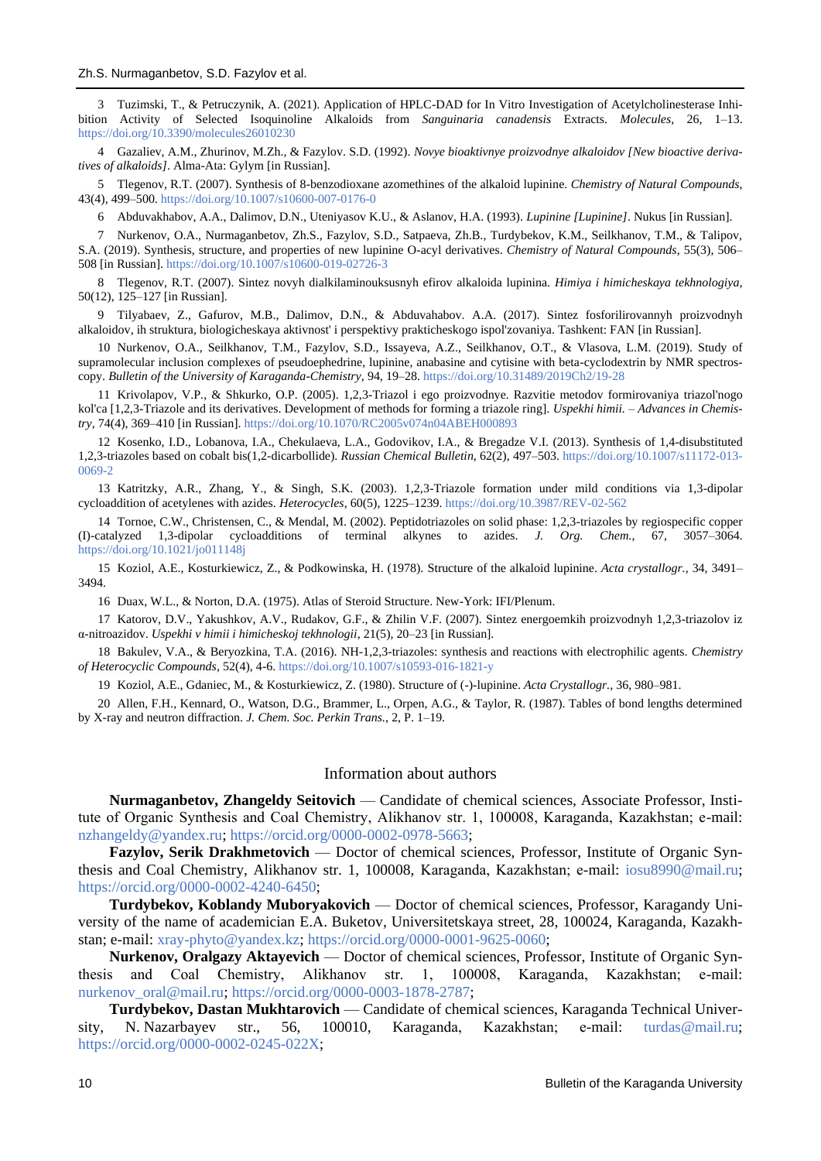3 Tuzimski, T., & Petruczynik, A. (2021). Application of HPLC-DAD for In Vitro Investigation of Acetylcholinesterase Inhibition Activity of Selected Isoquinoline Alkaloids from *Sanguinaria canadensis* Extracts. *Molecules*, 26, 1–13. <https://doi.org/10.3390/molecules26010230>

4 Gazaliev, A.M., Zhurinov, M.Zh., & Fazylov. S.D. (1992). *Novye bioaktivnye proizvodnye alkaloidov [New bioactive derivatives of alkaloids]*. Alma-Ata: Gylym [in Russian].

5 Tlegenov, R.T. (2007). Synthesis of 8-benzodioxane azomethines of the alkaloid lupinine. *Chemistry of Natural Compounds*, 43(4), 499–500. <https://doi.org/10.1007/s10600-007-0176-0>

6 Abduvakhabov, A.A., Dalimov, D.N., Uteniyasov K.U., & Aslanov, H.A. (1993). *Lupinine [Lupinine]*. Nukus [in Russian].

7 Nurkenov, O.A., Nurmaganbetov, Zh.S., Fazylov, S.D., Satpaeva, Zh.B., Turdybekov, K.M., Seilkhanov, T.M., & Talipov, S.A. (2019). Synthesis, structure, and properties of new lupinine O-acyl derivatives. *Chemistry of Natural Compounds*, 55(3), 506– 508 [in Russian]. <https://doi.org/10.1007/s10600-019-02726-3>

8 Tlegenov, R.T. (2007). Sintez novyh dialkilaminouksusnyh efirov alkaloida lupinina. *Himiya i himicheskaya tekhnologiya*, 50(12), 125–127 [in Russian].

9 Tilyabaev, Z., Gafurov, M.B., Dalimov, D.N., & Abduvahabov. A.A. (2017). Sintez fosforilirovannyh proizvodnyh alkaloidov, ih struktura, biologicheskaya aktivnost' i perspektivy prakticheskogo ispol'zovaniya. Tashkent: FAN [in Russian].

10 Nurkenov, O.A., Seilkhanov, T.M., Fazylov, S.D., Issayeva, A.Z., Seilkhanov, O.T., & Vlasova, L.M. (2019). Study of supramolecular inclusion complexes of pseudoephedrine, lupinine, anabasine and cytisine with beta-cyclodextrin by NMR spectroscopy. *Bulletin of the University of Karaganda-Chemistry,* 94, 19–28. <https://doi.org/10.31489/2019Ch2/19-28>

11 Krivolapov, V.P., & Shkurko, O.P. (2005). 1,2,3-Triazol i ego proizvodnye. Razvitie metodov formirovaniya triazol'nogo kol'ca [1,2,3-Triazole and its derivatives. Development of methods for forming a triazole ring]. *Uspekhi himii. – Advances in Chemistry*, 74(4), 369–410 [in Russian].<https://doi.org/10.1070/RC2005v074n04ABEH000893>

12 Kosenko, I.D., Lobanova, I.A., Chekulaeva, L.A., Godovikov, I.A., & Bregadze V.I. (2013). Synthesis of 1,4-disubstituted 1,2,3-triazoles based on cobalt bis(1,2-dicarbollide). *[Russian Chemical Bulletin](https://elibrary.ru/contents.asp?id=33985581)*, 62(2), 497–503. [https://doi.org/10.1007/s11172-013-](https://doi.org/10.1007/s11172-013-0069-2) [0069-2](https://doi.org/10.1007/s11172-013-0069-2)

13 Katritzky, A.R., Zhang, Y., & Singh, S.K. (2003). 1,2,3-Triazole formation under mild conditions via 1,3-dipolar cycloaddition of acetylenes with azides. *Heterocycles,* 60(5), 1225–1239. <https://doi.org/10.3987/REV-02-562>

14 Tornoe, C.W., Christensen, C., & Mendal, M. (2002). Peptidotriazoles on solid phase: 1,2,3-triazoles by regiospecific copper (I)-catalyzed 1,3-dipolar cycloadditions of terminal alkynes to azides. *J. Org. Chem.*, 67, 3057–3064. <https://doi.org/10.1021/jo011148j>

15 Koziol, A.E., Kosturkiewicz, Z., & Podkowinska, H. (1978). Structure of the alkaloid lupinine. *Acta crystallogr.*, 34, 3491– 3494.

16 Duax, W.L., & Norton, D.A. (1975). Atlas of Steroid Structure. New-York: IFI/Plenum.

17 Katorov, D.V., Yakushkov, A.V., Rudakov, G.F., & Zhilin V.F. (2007). Sintez energoemkih proizvodnyh 1,2,3-triazolov iz α-nitroazidov. *Uspekhi v himii i himicheskoj tekhnologii*, 21(5), 20–23 [in Russian].

18 Bakulev, V.A., & Beryozkina, T.A. (2016). NH-1,2,3-triazoles: synthesis and reactions with electrophilic agents. *Chemistry of Heterocyclic Compounds*, 52(4), 4-6. <https://doi.org/10.1007/s10593-016-1821-y>

19 Koziol, A.E., Gdaniec, M., & Kosturkiewicz, Z. (1980). Structure of (-)-lupinine. *Acta Crystallogr.*, 36, 980–981.

20 Allen, F.H., Kennard, O., Watson, D.G., Brammer, L., Orpen, A.G., & Taylor, R. (1987). Tables of bond lengths determined by X-ray and neutron diffraction. *J. Chem. Soc. Perkin Trans.*, 2, P. 1–19.

#### Information about authors

**Nurmaganbetov, Zhangeldy Seitovich** — Candidate of chemical sciences, Associate Professor, Institute of Organic Synthesis and Coal Chemistry, Alikhanov str. 1, 100008, Karaganda, Kazakhstan; е-mail: [nzhangeldy@yandex.ru;](mailto:nzhangeldy@yandex.ru) [https://orcid.org/0000-0002-0978-5663;](https://orcid.org/0000-0002-0978-5663)

**Fazylov, Serik Drakhmetovich** — Doctor of chemical sciences, Professor, Institute of Organic Synthesis and Coal Chemistry, Alikhanov str. 1, 100008, Karaganda, Kazakhstan; е-mail: [iosu8990@mail.ru;](mailto:iosu8990@mail.ru) [https://orcid.org/0000-0002-4240-6450;](https://orcid.org/0000-0002-4240-6450)

**Turdybekov, Koblandy Muboryakovich** — Doctor of chemical sciences, Professor, Karagandy University of the name of academician E.A. Buketov, Universitetskaya street, 28, 100024, Karaganda, Kazakhstan; e-mail: [xray-phyto@yandex.kz;](mailto:xray-phyto@yandex.kz) [https://orcid.org/0000-0001-9625-0060;](https://orcid.org/0000-0001-9625-0060)

**Nurkenov, Oralgazy Aktayevich** — Doctor of chemical sciences, Professor, Institute of Organic Synthesis and Coal Chemistry, Alikhanov str. 1, 100008, Karaganda, Kazakhstan; е-mail: [nurkenov\\_oral@mail.ru;](mailto:nurkenov_oral@mail.ru) [https://orcid.org/0000-0003-1878-2787;](https://orcid.org/0000-0003-1878-2787)

**Turdybekov, Dastan Mukhtarovich** — Candidate of chemical sciences, Karaganda Technical University, N. Nazarbayev str., 56, 100010, Karaganda, Kazakhstan; e-mail: [turdas@mail.ru;](mailto:turdas@mail.ru) [https://orcid.org/0000-0002-0245-022X;](https://orcid.org/0000-0002-0245-022X)